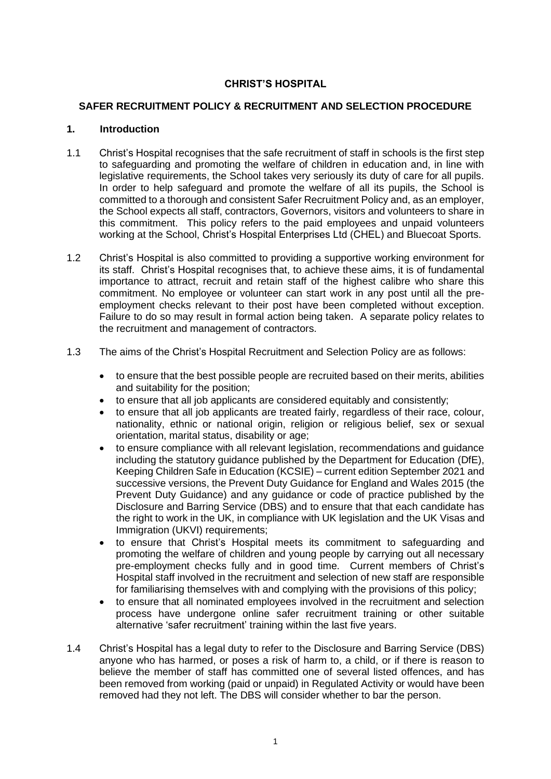# **CHRIST'S HOSPITAL**

#### **SAFER RECRUITMENT POLICY & RECRUITMENT AND SELECTION PROCEDURE**

#### **1. Introduction**

- 1.1 Christ's Hospital recognises that the safe recruitment of staff in schools is the first step to safeguarding and promoting the welfare of children in education and, in line with legislative requirements, the School takes very seriously its duty of care for all pupils. In order to help safeguard and promote the welfare of all its pupils, the School is committed to a thorough and consistent Safer Recruitment Policy and, as an employer, the School expects all staff, contractors, Governors, visitors and volunteers to share in this commitment. This policy refers to the paid employees and unpaid volunteers working at the School, Christ's Hospital Enterprises Ltd (CHEL) and Bluecoat Sports.
- 1.2 Christ's Hospital is also committed to providing a supportive working environment for its staff. Christ's Hospital recognises that, to achieve these aims, it is of fundamental importance to attract, recruit and retain staff of the highest calibre who share this commitment. No employee or volunteer can start work in any post until all the preemployment checks relevant to their post have been completed without exception. Failure to do so may result in formal action being taken. A separate policy relates to the recruitment and management of contractors.
- 1.3 The aims of the Christ's Hospital Recruitment and Selection Policy are as follows:
	- to ensure that the best possible people are recruited based on their merits, abilities and suitability for the position;
	- to ensure that all job applicants are considered equitably and consistently;
	- to ensure that all job applicants are treated fairly, regardless of their race, colour, nationality, ethnic or national origin, religion or religious belief, sex or sexual orientation, marital status, disability or age;
	- to ensure compliance with all relevant legislation, recommendations and guidance including the statutory guidance published by the Department for Education (DfE), Keeping Children Safe in Education (KCSIE) – current edition September 2021 and successive versions, the Prevent Duty Guidance for England and Wales 2015 (the Prevent Duty Guidance) and any guidance or code of practice published by the Disclosure and Barring Service (DBS) and to ensure that that each candidate has the right to work in the UK, in compliance with UK legislation and the UK Visas and Immigration (UKVI) requirements;
	- to ensure that Christ's Hospital meets its commitment to safeguarding and promoting the welfare of children and young people by carrying out all necessary pre-employment checks fully and in good time. Current members of Christ's Hospital staff involved in the recruitment and selection of new staff are responsible for familiarising themselves with and complying with the provisions of this policy;
	- to ensure that all nominated employees involved in the recruitment and selection process have undergone online safer recruitment training or other suitable alternative 'safer recruitment' training within the last five years.
- 1.4 Christ's Hospital has a legal duty to refer to the Disclosure and Barring Service (DBS) anyone who has harmed, or poses a risk of harm to, a child, or if there is reason to believe the member of staff has committed one of several listed offences, and has been removed from working (paid or unpaid) in Regulated Activity or would have been removed had they not left. The DBS will consider whether to bar the person.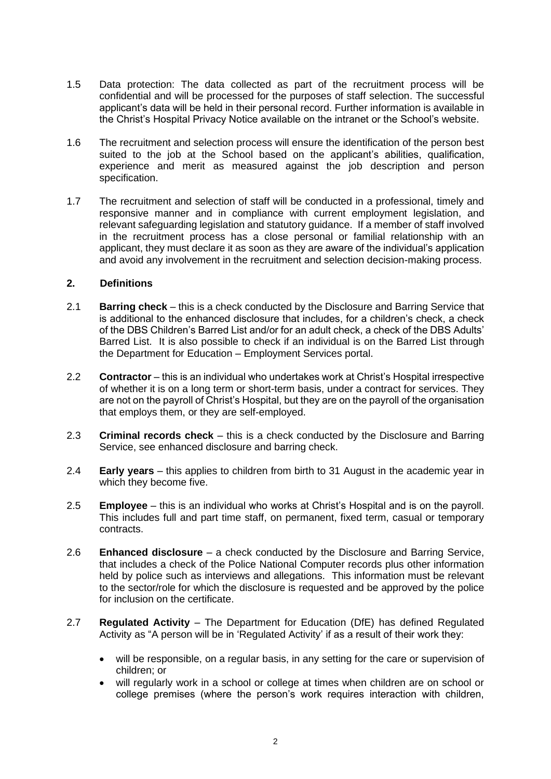- 1.5 Data protection: The data collected as part of the recruitment process will be confidential and will be processed for the purposes of staff selection. The successful applicant's data will be held in their personal record. Further information is available in the Christ's Hospital Privacy Notice available on the intranet or the School's website.
- 1.6 The recruitment and selection process will ensure the identification of the person best suited to the job at the School based on the applicant's abilities, qualification, experience and merit as measured against the job description and person specification.
- 1.7 The recruitment and selection of staff will be conducted in a professional, timely and responsive manner and in compliance with current employment legislation, and relevant safeguarding legislation and statutory guidance. If a member of staff involved in the recruitment process has a close personal or familial relationship with an applicant, they must declare it as soon as they are aware of the individual's application and avoid any involvement in the recruitment and selection decision-making process.

### **2. Definitions**

- 2.1 **Barring check** this is a check conducted by the Disclosure and Barring Service that is additional to the enhanced disclosure that includes, for a children's check, a check of the DBS Children's Barred List and/or for an adult check, a check of the DBS Adults' Barred List. It is also possible to check if an individual is on the Barred List through the Department for Education – Employment Services portal.
- 2.2 **Contractor** this is an individual who undertakes work at Christ's Hospital irrespective of whether it is on a long term or short-term basis, under a contract for services. They are not on the payroll of Christ's Hospital, but they are on the payroll of the organisation that employs them, or they are self-employed.
- 2.3 **Criminal records check** this is a check conducted by the Disclosure and Barring Service, see enhanced disclosure and barring check.
- 2.4 **Early years** this applies to children from birth to 31 August in the academic year in which they become five.
- 2.5 **Employee** this is an individual who works at Christ's Hospital and is on the payroll. This includes full and part time staff, on permanent, fixed term, casual or temporary contracts.
- 2.6 **Enhanced disclosure** a check conducted by the Disclosure and Barring Service, that includes a check of the Police National Computer records plus other information held by police such as interviews and allegations. This information must be relevant to the sector/role for which the disclosure is requested and be approved by the police for inclusion on the certificate.
- 2.7 **Regulated Activity** The Department for Education (DfE) has defined Regulated Activity as "A person will be in 'Regulated Activity' if as a result of their work they:
	- will be responsible, on a regular basis, in any setting for the care or supervision of children; or
	- will regularly work in a school or college at times when children are on school or college premises (where the person's work requires interaction with children,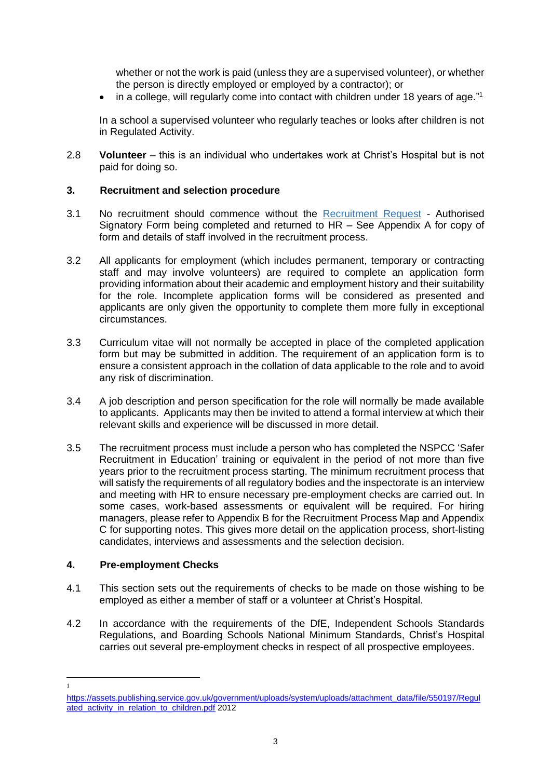whether or not the work is paid (unless they are a supervised volunteer), or whether the person is directly employed or employed by a contractor); or

• in a college, will regularly come into contact with children under 18 years of age."<sup>1</sup>

In a school a supervised volunteer who regularly teaches or looks after children is not in Regulated Activity.

2.8 **Volunteer** – this is an individual who undertakes work at Christ's Hospital but is not paid for doing so.

### **3. Recruitment and selection procedure**

- 3.1 No recruitment should commence without the [Recruitment Request](http://intranet/HR/_layouts/WordViewer.aspx?id=/HR/Standard%20Forms/Recruitment%20Request%20Authorisation%20Rev%20Oct%202016.doc&Source=http%3A%2F%2Fintranet%2FHR%2FStandard%2520Forms%2FForms%2FAllItems%2Easpx&DefaultItemOpen=1) Authorised Signatory Form being completed and returned to HR – See Appendix A for copy of form and details of staff involved in the recruitment process.
- 3.2 All applicants for employment (which includes permanent, temporary or contracting staff and may involve volunteers) are required to complete an application form providing information about their academic and employment history and their suitability for the role. Incomplete application forms will be considered as presented and applicants are only given the opportunity to complete them more fully in exceptional circumstances.
- 3.3 Curriculum vitae will not normally be accepted in place of the completed application form but may be submitted in addition. The requirement of an application form is to ensure a consistent approach in the collation of data applicable to the role and to avoid any risk of discrimination.
- 3.4 A job description and person specification for the role will normally be made available to applicants. Applicants may then be invited to attend a formal interview at which their relevant skills and experience will be discussed in more detail.
- 3.5 The recruitment process must include a person who has completed the NSPCC 'Safer Recruitment in Education' training or equivalent in the period of not more than five years prior to the recruitment process starting. The minimum recruitment process that will satisfy the requirements of all regulatory bodies and the inspectorate is an interview and meeting with HR to ensure necessary pre-employment checks are carried out. In some cases, work-based assessments or equivalent will be required. For hiring managers, please refer to Appendix B for the Recruitment Process Map and Appendix C for supporting notes. This gives more detail on the application process, short-listing candidates, interviews and assessments and the selection decision.

### **4. Pre-employment Checks**

1

- 4.1 This section sets out the requirements of checks to be made on those wishing to be employed as either a member of staff or a volunteer at Christ's Hospital.
- 4.2 In accordance with the requirements of the DfE, Independent Schools Standards Regulations, and Boarding Schools National Minimum Standards, Christ's Hospital carries out several pre-employment checks in respect of all prospective employees.

[https://assets.publishing.service.gov.uk/government/uploads/system/uploads/attachment\\_data/file/550197/Regul](https://assets.publishing.service.gov.uk/government/uploads/system/uploads/attachment_data/file/550197/Regulated_activity_in_relation_to_children.pdf) [ated\\_activity\\_in\\_relation\\_to\\_children.pdf](https://assets.publishing.service.gov.uk/government/uploads/system/uploads/attachment_data/file/550197/Regulated_activity_in_relation_to_children.pdf) 2012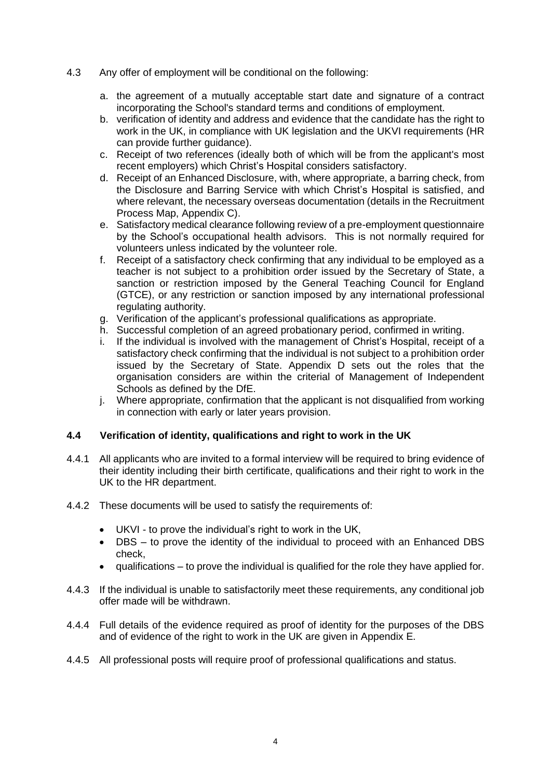- 4.3 Any offer of employment will be conditional on the following:
	- a. the agreement of a mutually acceptable start date and signature of a contract incorporating the School's standard terms and conditions of employment.
	- b. verification of identity and address and evidence that the candidate has the right to work in the UK, in compliance with UK legislation and the UKVI requirements (HR can provide further guidance).
	- c. Receipt of two references (ideally both of which will be from the applicant's most recent employers) which Christ's Hospital considers satisfactory.
	- d. Receipt of an Enhanced Disclosure, with, where appropriate, a barring check, from the Disclosure and Barring Service with which Christ's Hospital is satisfied, and where relevant, the necessary overseas documentation (details in the Recruitment Process Map, Appendix C).
	- e. Satisfactory medical clearance following review of a pre-employment questionnaire by the School's occupational health advisors. This is not normally required for volunteers unless indicated by the volunteer role.
	- f. Receipt of a satisfactory check confirming that any individual to be employed as a teacher is not subject to a prohibition order issued by the Secretary of State, a sanction or restriction imposed by the General Teaching Council for England (GTCE), or any restriction or sanction imposed by any international professional regulating authority.
	- g. Verification of the applicant's professional qualifications as appropriate.
	- h. Successful completion of an agreed probationary period, confirmed in writing.
	- i. If the individual is involved with the management of Christ's Hospital, receipt of a satisfactory check confirming that the individual is not subject to a prohibition order issued by the Secretary of State. Appendix D sets out the roles that the organisation considers are within the criterial of Management of Independent Schools as defined by the DfE.
	- j. Where appropriate, confirmation that the applicant is not disqualified from working in connection with early or later years provision.

### **4.4 Verification of identity, qualifications and right to work in the UK**

- 4.4.1 All applicants who are invited to a formal interview will be required to bring evidence of their identity including their birth certificate, qualifications and their right to work in the UK to the HR department.
- 4.4.2 These documents will be used to satisfy the requirements of:
	- UKVI to prove the individual's right to work in the UK,
	- DBS to prove the identity of the individual to proceed with an Enhanced DBS check,
	- qualifications to prove the individual is qualified for the role they have applied for.
- 4.4.3 If the individual is unable to satisfactorily meet these requirements, any conditional job offer made will be withdrawn.
- 4.4.4 Full details of the evidence required as proof of identity for the purposes of the DBS and of evidence of the right to work in the UK are given in Appendix E.
- 4.4.5 All professional posts will require proof of professional qualifications and status.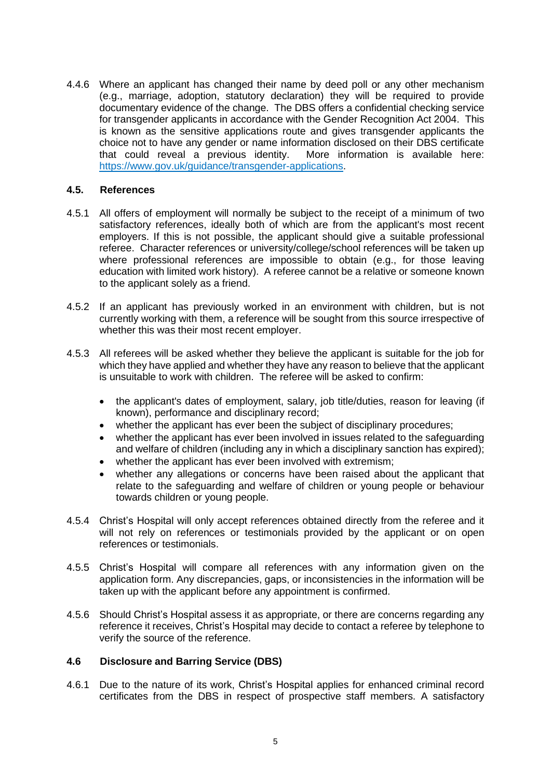4.4.6 Where an applicant has changed their name by deed poll or any other mechanism (e.g., marriage, adoption, statutory declaration) they will be required to provide documentary evidence of the change. The DBS offers a confidential checking service for transgender applicants in accordance with the Gender Recognition Act 2004. This is known as the sensitive applications route and gives transgender applicants the choice not to have any gender or name information disclosed on their DBS certificate that could reveal a previous identity. More information is available here: [https://www.gov.uk/guidance/transgender-applications.](https://www.gov.uk/guidance/transgender-applications)

#### **4.5. References**

- 4.5.1 All offers of employment will normally be subject to the receipt of a minimum of two satisfactory references, ideally both of which are from the applicant's most recent employers. If this is not possible, the applicant should give a suitable professional referee. Character references or university/college/school references will be taken up where professional references are impossible to obtain (e.g., for those leaving education with limited work history). A referee cannot be a relative or someone known to the applicant solely as a friend.
- 4.5.2 If an applicant has previously worked in an environment with children, but is not currently working with them, a reference will be sought from this source irrespective of whether this was their most recent employer.
- 4.5.3 All referees will be asked whether they believe the applicant is suitable for the job for which they have applied and whether they have any reason to believe that the applicant is unsuitable to work with children. The referee will be asked to confirm:
	- the applicant's dates of employment, salary, job title/duties, reason for leaving (if known), performance and disciplinary record;
	- whether the applicant has ever been the subject of disciplinary procedures;
	- whether the applicant has ever been involved in issues related to the safeguarding and welfare of children (including any in which a disciplinary sanction has expired);
	- whether the applicant has ever been involved with extremism:
	- whether any allegations or concerns have been raised about the applicant that relate to the safeguarding and welfare of children or young people or behaviour towards children or young people.
- 4.5.4 Christ's Hospital will only accept references obtained directly from the referee and it will not rely on references or testimonials provided by the applicant or on open references or testimonials.
- 4.5.5 Christ's Hospital will compare all references with any information given on the application form. Any discrepancies, gaps, or inconsistencies in the information will be taken up with the applicant before any appointment is confirmed.
- 4.5.6 Should Christ's Hospital assess it as appropriate, or there are concerns regarding any reference it receives, Christ's Hospital may decide to contact a referee by telephone to verify the source of the reference.

### **4.6 Disclosure and Barring Service (DBS)**

4.6.1 Due to the nature of its work, Christ's Hospital applies for enhanced criminal record certificates from the DBS in respect of prospective staff members. A satisfactory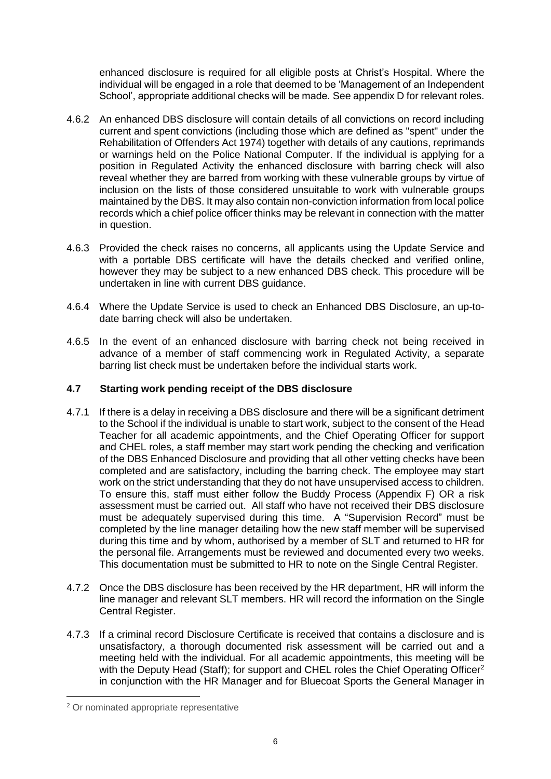enhanced disclosure is required for all eligible posts at Christ's Hospital. Where the individual will be engaged in a role that deemed to be 'Management of an Independent School', appropriate additional checks will be made. See appendix D for relevant roles.

- 4.6.2 An enhanced DBS disclosure will contain details of all convictions on record including current and spent convictions (including those which are defined as "spent" under the Rehabilitation of Offenders Act 1974) together with details of any cautions, reprimands or warnings held on the Police National Computer. If the individual is applying for a position in Regulated Activity the enhanced disclosure with barring check will also reveal whether they are barred from working with these vulnerable groups by virtue of inclusion on the lists of those considered unsuitable to work with vulnerable groups maintained by the DBS. It may also contain non-conviction information from local police records which a chief police officer thinks may be relevant in connection with the matter in question.
- 4.6.3 Provided the check raises no concerns, all applicants using the Update Service and with a portable DBS certificate will have the details checked and verified online, however they may be subject to a new enhanced DBS check. This procedure will be undertaken in line with current DBS guidance.
- 4.6.4 Where the Update Service is used to check an Enhanced DBS Disclosure, an up-todate barring check will also be undertaken.
- 4.6.5 In the event of an enhanced disclosure with barring check not being received in advance of a member of staff commencing work in Regulated Activity, a separate barring list check must be undertaken before the individual starts work.

## **4.7 Starting work pending receipt of the DBS disclosure**

- 4.7.1 If there is a delay in receiving a DBS disclosure and there will be a significant detriment to the School if the individual is unable to start work, subject to the consent of the Head Teacher for all academic appointments, and the Chief Operating Officer for support and CHEL roles, a staff member may start work pending the checking and verification of the DBS Enhanced Disclosure and providing that all other vetting checks have been completed and are satisfactory, including the barring check. The employee may start work on the strict understanding that they do not have unsupervised access to children. To ensure this, staff must either follow the Buddy Process (Appendix F) OR a risk assessment must be carried out. All staff who have not received their DBS disclosure must be adequately supervised during this time. A "Supervision Record" must be completed by the line manager detailing how the new staff member will be supervised during this time and by whom, authorised by a member of SLT and returned to HR for the personal file. Arrangements must be reviewed and documented every two weeks. This documentation must be submitted to HR to note on the Single Central Register.
- 4.7.2 Once the DBS disclosure has been received by the HR department, HR will inform the line manager and relevant SLT members. HR will record the information on the Single Central Register.
- 4.7.3 If a criminal record Disclosure Certificate is received that contains a disclosure and is unsatisfactory, a thorough documented risk assessment will be carried out and a meeting held with the individual. For all academic appointments, this meeting will be with the Deputy Head (Staff); for support and CHEL roles the Chief Operating Officer<sup>2</sup> in conjunction with the HR Manager and for Bluecoat Sports the General Manager in

<sup>2</sup> Or nominated appropriate representative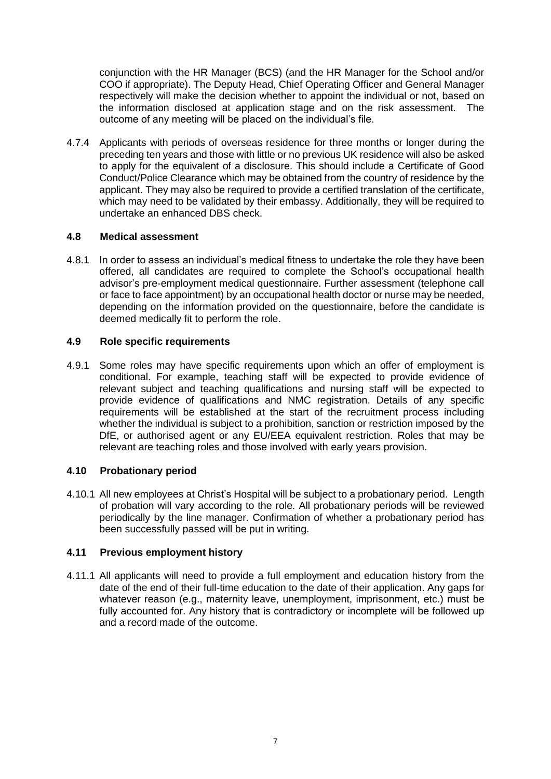conjunction with the HR Manager (BCS) (and the HR Manager for the School and/or COO if appropriate). The Deputy Head, Chief Operating Officer and General Manager respectively will make the decision whether to appoint the individual or not, based on the information disclosed at application stage and on the risk assessment. The outcome of any meeting will be placed on the individual's file.

4.7.4 Applicants with periods of overseas residence for three months or longer during the preceding ten years and those with little or no previous UK residence will also be asked to apply for the equivalent of a disclosure. This should include a Certificate of Good Conduct/Police Clearance which may be obtained from the country of residence by the applicant. They may also be required to provide a certified translation of the certificate, which may need to be validated by their embassy. Additionally, they will be required to undertake an enhanced DBS check.

## **4.8 Medical assessment**

4.8.1 In order to assess an individual's medical fitness to undertake the role they have been offered, all candidates are required to complete the School's occupational health advisor's pre-employment medical questionnaire. Further assessment (telephone call or face to face appointment) by an occupational health doctor or nurse may be needed, depending on the information provided on the questionnaire, before the candidate is deemed medically fit to perform the role.

## **4.9 Role specific requirements**

4.9.1 Some roles may have specific requirements upon which an offer of employment is conditional. For example, teaching staff will be expected to provide evidence of relevant subject and teaching qualifications and nursing staff will be expected to provide evidence of qualifications and NMC registration. Details of any specific requirements will be established at the start of the recruitment process including whether the individual is subject to a prohibition, sanction or restriction imposed by the DfE, or authorised agent or any EU/EEA equivalent restriction. Roles that may be relevant are teaching roles and those involved with early years provision.

# **4.10 Probationary period**

4.10.1 All new employees at Christ's Hospital will be subject to a probationary period. Length of probation will vary according to the role. All probationary periods will be reviewed periodically by the line manager. Confirmation of whether a probationary period has been successfully passed will be put in writing.

# **4.11 Previous employment history**

4.11.1 All applicants will need to provide a full employment and education history from the date of the end of their full-time education to the date of their application. Any gaps for whatever reason (e.g., maternity leave, unemployment, imprisonment, etc.) must be fully accounted for. Any history that is contradictory or incomplete will be followed up and a record made of the outcome.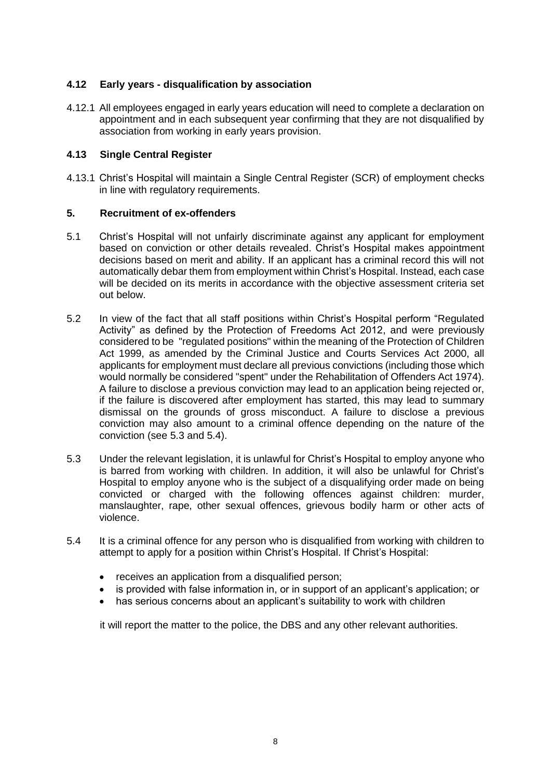# **4.12 Early years - disqualification by association**

4.12.1 All employees engaged in early years education will need to complete a declaration on appointment and in each subsequent year confirming that they are not disqualified by association from working in early years provision.

## **4.13 Single Central Register**

4.13.1 Christ's Hospital will maintain a Single Central Register (SCR) of employment checks in line with regulatory requirements.

### **5. Recruitment of ex-offenders**

- 5.1 Christ's Hospital will not unfairly discriminate against any applicant for employment based on conviction or other details revealed. Christ's Hospital makes appointment decisions based on merit and ability. If an applicant has a criminal record this will not automatically debar them from employment within Christ's Hospital. Instead, each case will be decided on its merits in accordance with the objective assessment criteria set out below.
- 5.2 In view of the fact that all staff positions within Christ's Hospital perform "Regulated Activity" as defined by the Protection of Freedoms Act 2012, and were previously considered to be "regulated positions" within the meaning of the Protection of Children Act 1999, as amended by the Criminal Justice and Courts Services Act 2000, all applicants for employment must declare all previous convictions (including those which would normally be considered "spent" under the Rehabilitation of Offenders Act 1974). A failure to disclose a previous conviction may lead to an application being rejected or, if the failure is discovered after employment has started, this may lead to summary dismissal on the grounds of gross misconduct. A failure to disclose a previous conviction may also amount to a criminal offence depending on the nature of the conviction (see 5.3 and 5.4).
- 5.3 Under the relevant legislation, it is unlawful for Christ's Hospital to employ anyone who is barred from working with children. In addition, it will also be unlawful for Christ's Hospital to employ anyone who is the subject of a disqualifying order made on being convicted or charged with the following offences against children: murder, manslaughter, rape, other sexual offences, grievous bodily harm or other acts of violence.
- 5.4 It is a criminal offence for any person who is disqualified from working with children to attempt to apply for a position within Christ's Hospital. If Christ's Hospital:
	- receives an application from a disqualified person:
	- is provided with false information in, or in support of an applicant's application; or
	- has serious concerns about an applicant's suitability to work with children

it will report the matter to the police, the DBS and any other relevant authorities.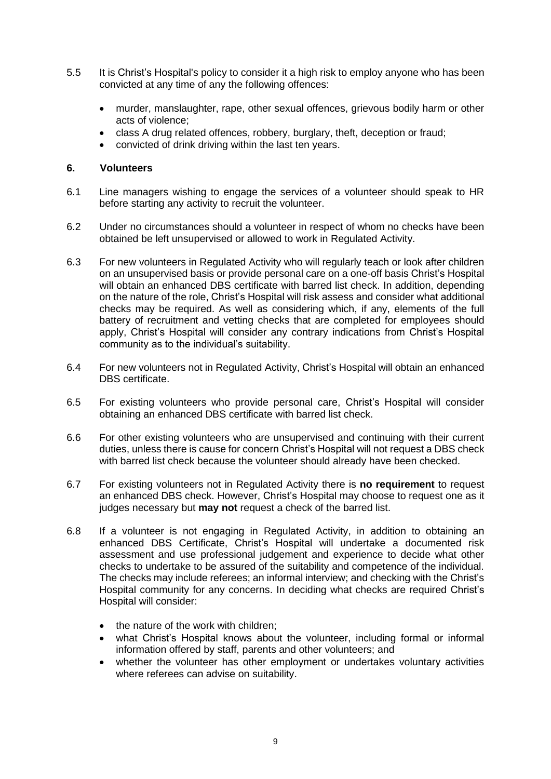- 5.5 It is Christ's Hospital's policy to consider it a high risk to employ anyone who has been convicted at any time of any the following offences:
	- murder, manslaughter, rape, other sexual offences, grievous bodily harm or other acts of violence;
	- class A drug related offences, robbery, burglary, theft, deception or fraud;
	- convicted of drink driving within the last ten years.

#### **6. Volunteers**

- 6.1 Line managers wishing to engage the services of a volunteer should speak to HR before starting any activity to recruit the volunteer.
- 6.2 Under no circumstances should a volunteer in respect of whom no checks have been obtained be left unsupervised or allowed to work in Regulated Activity.
- 6.3 For new volunteers in Regulated Activity who will regularly teach or look after children on an unsupervised basis or provide personal care on a one-off basis Christ's Hospital will obtain an enhanced DBS certificate with barred list check. In addition, depending on the nature of the role, Christ's Hospital will risk assess and consider what additional checks may be required. As well as considering which, if any, elements of the full battery of recruitment and vetting checks that are completed for employees should apply, Christ's Hospital will consider any contrary indications from Christ's Hospital community as to the individual's suitability.
- 6.4 For new volunteers not in Regulated Activity, Christ's Hospital will obtain an enhanced DBS certificate.
- 6.5 For existing volunteers who provide personal care, Christ's Hospital will consider obtaining an enhanced DBS certificate with barred list check.
- 6.6 For other existing volunteers who are unsupervised and continuing with their current duties, unless there is cause for concern Christ's Hospital will not request a DBS check with barred list check because the volunteer should already have been checked.
- 6.7 For existing volunteers not in Regulated Activity there is **no requirement** to request an enhanced DBS check. However, Christ's Hospital may choose to request one as it judges necessary but **may not** request a check of the barred list.
- 6.8 If a volunteer is not engaging in Regulated Activity, in addition to obtaining an enhanced DBS Certificate, Christ's Hospital will undertake a documented risk assessment and use professional judgement and experience to decide what other checks to undertake to be assured of the suitability and competence of the individual. The checks may include referees; an informal interview; and checking with the Christ's Hospital community for any concerns. In deciding what checks are required Christ's Hospital will consider:
	- the nature of the work with children:
	- what Christ's Hospital knows about the volunteer, including formal or informal information offered by staff, parents and other volunteers; and
	- whether the volunteer has other employment or undertakes voluntary activities where referees can advise on suitability.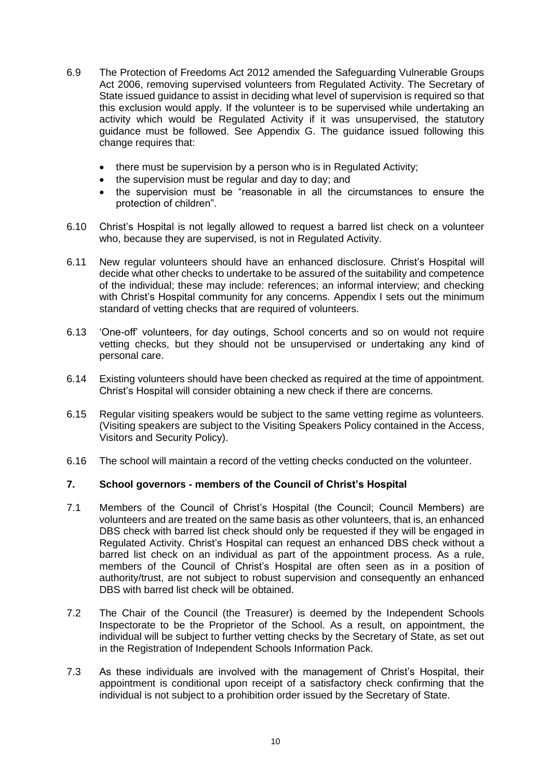- 6.9 The Protection of Freedoms Act 2012 amended the Safeguarding Vulnerable Groups Act 2006, removing supervised volunteers from Regulated Activity. The Secretary of State issued guidance to assist in deciding what level of supervision is required so that this exclusion would apply. If the volunteer is to be supervised while undertaking an activity which would be Regulated Activity if it was unsupervised, the statutory guidance must be followed. See Appendix G. The guidance issued following this change requires that:
	- there must be supervision by a person who is in Regulated Activity;
	- the supervision must be regular and day to day; and
	- the supervision must be "reasonable in all the circumstances to ensure the protection of children".
- 6.10 Christ's Hospital is not legally allowed to request a barred list check on a volunteer who, because they are supervised, is not in Regulated Activity.
- 6.11 New regular volunteers should have an enhanced disclosure. Christ's Hospital will decide what other checks to undertake to be assured of the suitability and competence of the individual; these may include: references; an informal interview; and checking with Christ's Hospital community for any concerns. Appendix I sets out the minimum standard of vetting checks that are required of volunteers.
- 6.13 'One-off' volunteers, for day outings, School concerts and so on would not require vetting checks, but they should not be unsupervised or undertaking any kind of personal care.
- 6.14 Existing volunteers should have been checked as required at the time of appointment. Christ's Hospital will consider obtaining a new check if there are concerns.
- 6.15 Regular visiting speakers would be subject to the same vetting regime as volunteers. (Visiting speakers are subject to the Visiting Speakers Policy contained in the Access, Visitors and Security Policy).
- 6.16 The school will maintain a record of the vetting checks conducted on the volunteer.

### **7. School governors - members of the Council of Christ's Hospital**

- 7.1 Members of the Council of Christ's Hospital (the Council; Council Members) are volunteers and are treated on the same basis as other volunteers, that is, an enhanced DBS check with barred list check should only be requested if they will be engaged in Regulated Activity. Christ's Hospital can request an enhanced DBS check without a barred list check on an individual as part of the appointment process. As a rule, members of the Council of Christ's Hospital are often seen as in a position of authority/trust, are not subject to robust supervision and consequently an enhanced DBS with barred list check will be obtained.
- 7.2 The Chair of the Council (the Treasurer) is deemed by the Independent Schools Inspectorate to be the Proprietor of the School. As a result, on appointment, the individual will be subject to further vetting checks by the Secretary of State, as set out in the Registration of Independent Schools Information Pack.
- 7.3 As these individuals are involved with the management of Christ's Hospital, their appointment is conditional upon receipt of a satisfactory check confirming that the individual is not subject to a prohibition order issued by the Secretary of State.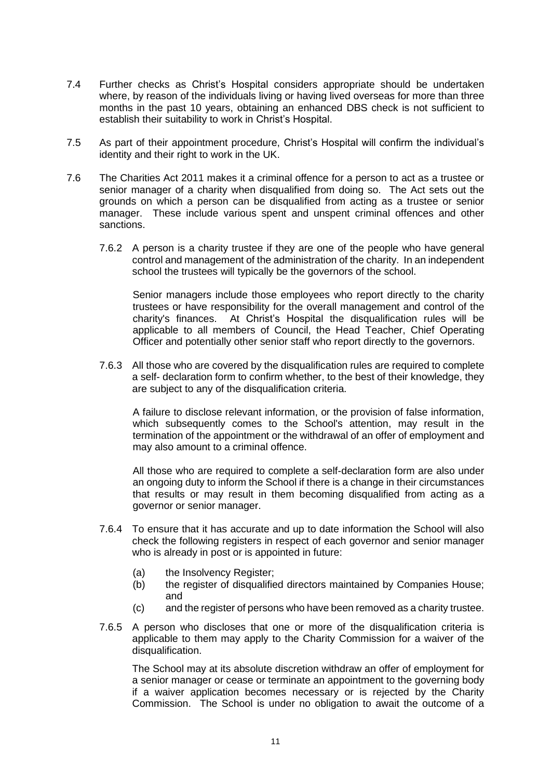- 7.4 Further checks as Christ's Hospital considers appropriate should be undertaken where, by reason of the individuals living or having lived overseas for more than three months in the past 10 years, obtaining an enhanced DBS check is not sufficient to establish their suitability to work in Christ's Hospital.
- 7.5 As part of their appointment procedure, Christ's Hospital will confirm the individual's identity and their right to work in the UK.
- 7.6 The Charities Act 2011 makes it a criminal offence for a person to act as a trustee or senior manager of a charity when disqualified from doing so. The Act sets out the grounds on which a person can be disqualified from acting as a trustee or senior manager. These include various spent and unspent criminal offences and other sanctions.
	- 7.6.2 A person is a charity trustee if they are one of the people who have general control and management of the administration of the charity. In an independent school the trustees will typically be the governors of the school.

Senior managers include those employees who report directly to the charity trustees or have responsibility for the overall management and control of the charity's finances. At Christ's Hospital the disqualification rules will be applicable to all members of Council, the Head Teacher, Chief Operating Officer and potentially other senior staff who report directly to the governors.

7.6.3 All those who are covered by the disqualification rules are required to complete a self- declaration form to confirm whether, to the best of their knowledge, they are subject to any of the disqualification criteria.

A failure to disclose relevant information, or the provision of false information, which subsequently comes to the School's attention, may result in the termination of the appointment or the withdrawal of an offer of employment and may also amount to a criminal offence.

All those who are required to complete a self-declaration form are also under an ongoing duty to inform the School if there is a change in their circumstances that results or may result in them becoming disqualified from acting as a governor or senior manager.

- 7.6.4 To ensure that it has accurate and up to date information the School will also check the following registers in respect of each governor and senior manager who is already in post or is appointed in future:
	- (a) the Insolvency Register;
	- (b) the register of disqualified directors maintained by Companies House; and
	- (c) and the register of persons who have been removed as a charity trustee.
- 7.6.5 A person who discloses that one or more of the disqualification criteria is applicable to them may apply to the Charity Commission for a waiver of the disqualification.

The School may at its absolute discretion withdraw an offer of employment for a senior manager or cease or terminate an appointment to the governing body if a waiver application becomes necessary or is rejected by the Charity Commission. The School is under no obligation to await the outcome of a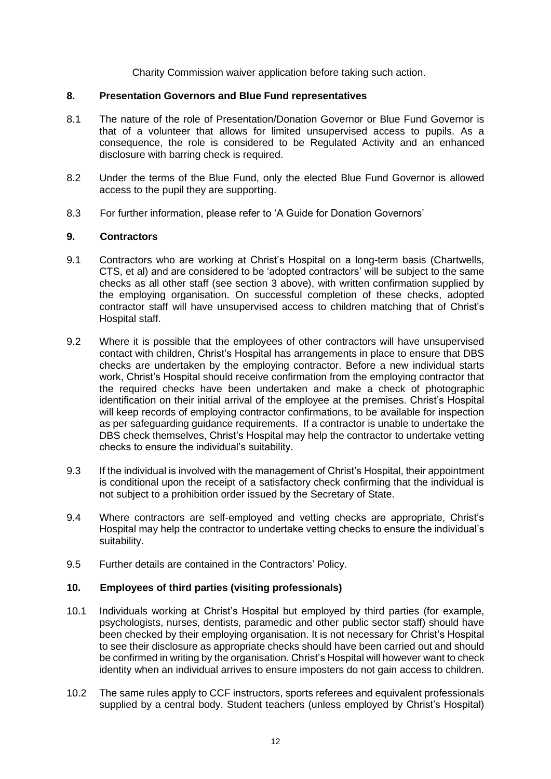Charity Commission waiver application before taking such action.

#### **8. Presentation Governors and Blue Fund representatives**

- 8.1 The nature of the role of Presentation/Donation Governor or Blue Fund Governor is that of a volunteer that allows for limited unsupervised access to pupils. As a consequence, the role is considered to be Regulated Activity and an enhanced disclosure with barring check is required.
- 8.2 Under the terms of the Blue Fund, only the elected Blue Fund Governor is allowed access to the pupil they are supporting.
- 8.3 For further information, please refer to 'A Guide for Donation Governors'

#### **9. Contractors**

- 9.1 Contractors who are working at Christ's Hospital on a long-term basis (Chartwells, CTS, et al) and are considered to be 'adopted contractors' will be subject to the same checks as all other staff (see section 3 above), with written confirmation supplied by the employing organisation. On successful completion of these checks, adopted contractor staff will have unsupervised access to children matching that of Christ's Hospital staff.
- 9.2 Where it is possible that the employees of other contractors will have unsupervised contact with children, Christ's Hospital has arrangements in place to ensure that DBS checks are undertaken by the employing contractor. Before a new individual starts work, Christ's Hospital should receive confirmation from the employing contractor that the required checks have been undertaken and make a check of photographic identification on their initial arrival of the employee at the premises. Christ's Hospital will keep records of employing contractor confirmations, to be available for inspection as per safeguarding guidance requirements. If a contractor is unable to undertake the DBS check themselves, Christ's Hospital may help the contractor to undertake vetting checks to ensure the individual's suitability.
- 9.3 If the individual is involved with the management of Christ's Hospital, their appointment is conditional upon the receipt of a satisfactory check confirming that the individual is not subject to a prohibition order issued by the Secretary of State.
- 9.4 Where contractors are self-employed and vetting checks are appropriate, Christ's Hospital may help the contractor to undertake vetting checks to ensure the individual's suitability.
- 9.5 Further details are contained in the Contractors' Policy.

### **10. Employees of third parties (visiting professionals)**

- 10.1 Individuals working at Christ's Hospital but employed by third parties (for example, psychologists, nurses, dentists, paramedic and other public sector staff) should have been checked by their employing organisation. It is not necessary for Christ's Hospital to see their disclosure as appropriate checks should have been carried out and should be confirmed in writing by the organisation. Christ's Hospital will however want to check identity when an individual arrives to ensure imposters do not gain access to children.
- 10.2 The same rules apply to CCF instructors, sports referees and equivalent professionals supplied by a central body. Student teachers (unless employed by Christ's Hospital)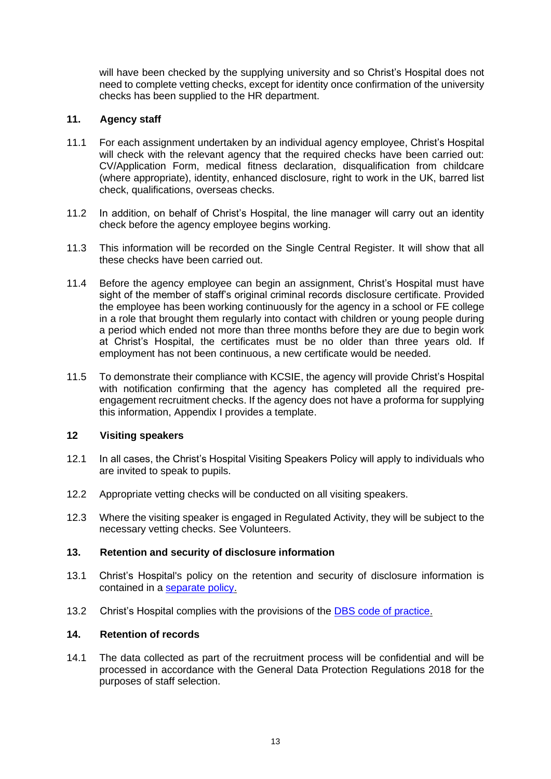will have been checked by the supplying university and so Christ's Hospital does not need to complete vetting checks, except for identity once confirmation of the university checks has been supplied to the HR department.

## **11. Agency staff**

- 11.1 For each assignment undertaken by an individual agency employee, Christ's Hospital will check with the relevant agency that the required checks have been carried out: CV/Application Form, medical fitness declaration, disqualification from childcare (where appropriate), identity, enhanced disclosure, right to work in the UK, barred list check, qualifications, overseas checks.
- 11.2 In addition, on behalf of Christ's Hospital, the line manager will carry out an identity check before the agency employee begins working.
- 11.3 This information will be recorded on the Single Central Register. It will show that all these checks have been carried out.
- 11.4 Before the agency employee can begin an assignment, Christ's Hospital must have sight of the member of staff's original criminal records disclosure certificate. Provided the employee has been working continuously for the agency in a school or FE college in a role that brought them regularly into contact with children or young people during a period which ended not more than three months before they are due to begin work at Christ's Hospital, the certificates must be no older than three years old. If employment has not been continuous, a new certificate would be needed.
- 11.5 To demonstrate their compliance with KCSIE, the agency will provide Christ's Hospital with notification confirming that the agency has completed all the required preengagement recruitment checks. If the agency does not have a proforma for supplying this information, Appendix I provides a template.

### **12 Visiting speakers**

- 12.1 In all cases, the Christ's Hospital Visiting Speakers Policy will apply to individuals who are invited to speak to pupils.
- 12.2 Appropriate vetting checks will be conducted on all visiting speakers.
- 12.3 Where the visiting speaker is engaged in Regulated Activity, they will be subject to the necessary vetting checks. See Volunteers.

### **13. Retention and security of disclosure information**

- 13.1 Christ's Hospital's policy on the retention and security of disclosure information is contained in a [separate policy.](http://intranet/HR/Employment%20Policies%20and%20Procedures/Criminal%20Records%20Checks%20Policy.doc)
- 13.2 Christ's Hospital complies with the provisions of the [DBS code of practice.](https://www.gov.uk/government/publications/dbs-code-of-practice)

## **14. Retention of records**

14.1 The data collected as part of the recruitment process will be confidential and will be processed in accordance with the General Data Protection Regulations 2018 for the purposes of staff selection.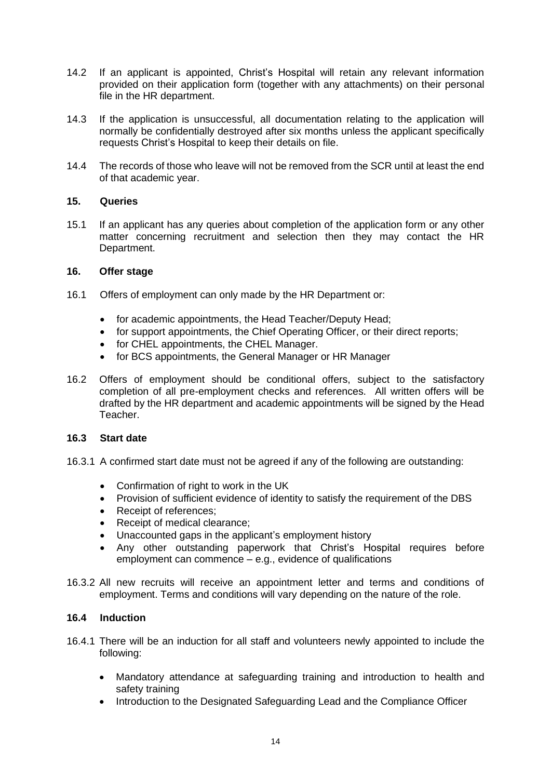- 14.2 If an applicant is appointed, Christ's Hospital will retain any relevant information provided on their application form (together with any attachments) on their personal file in the HR department.
- 14.3 If the application is unsuccessful, all documentation relating to the application will normally be confidentially destroyed after six months unless the applicant specifically requests Christ's Hospital to keep their details on file.
- 14.4 The records of those who leave will not be removed from the SCR until at least the end of that academic year.

### **15. Queries**

15.1 If an applicant has any queries about completion of the application form or any other matter concerning recruitment and selection then they may contact the HR Department.

#### **16. Offer stage**

- 16.1 Offers of employment can only made by the HR Department or:
	- for academic appointments, the Head Teacher/Deputy Head;
	- for support appointments, the Chief Operating Officer, or their direct reports;
	- for CHEL appointments, the CHEL Manager.
	- for BCS appointments, the General Manager or HR Manager
- 16.2 Offers of employment should be conditional offers, subject to the satisfactory completion of all pre-employment checks and references. All written offers will be drafted by the HR department and academic appointments will be signed by the Head Teacher.

#### **16.3 Start date**

- 16.3.1 A confirmed start date must not be agreed if any of the following are outstanding:
	- Confirmation of right to work in the UK
	- Provision of sufficient evidence of identity to satisfy the requirement of the DBS
	- Receipt of references;
	- Receipt of medical clearance;
	- Unaccounted gaps in the applicant's employment history
	- Any other outstanding paperwork that Christ's Hospital requires before employment can commence – e.g., evidence of qualifications
- 16.3.2 All new recruits will receive an appointment letter and terms and conditions of employment. Terms and conditions will vary depending on the nature of the role.

#### **16.4 Induction**

- 16.4.1 There will be an induction for all staff and volunteers newly appointed to include the following:
	- Mandatory attendance at safeguarding training and introduction to health and safety training
	- Introduction to the Designated Safeguarding Lead and the Compliance Officer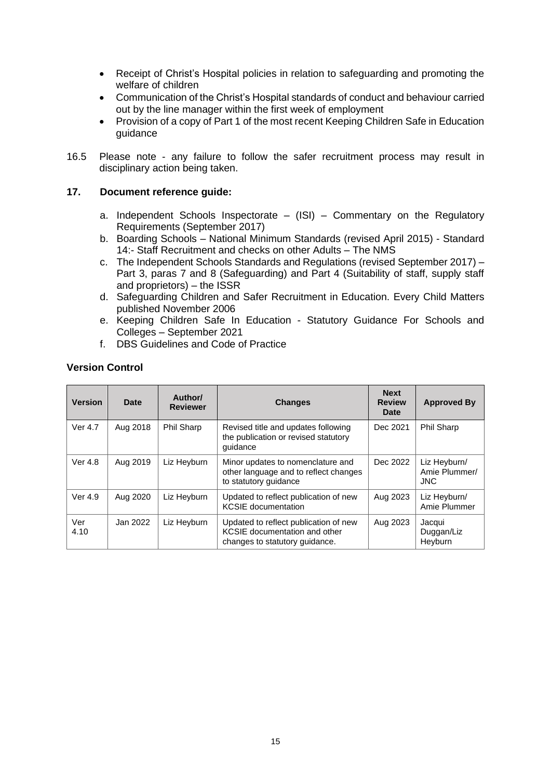- Receipt of Christ's Hospital policies in relation to safeguarding and promoting the welfare of children
- Communication of the Christ's Hospital standards of conduct and behaviour carried out by the line manager within the first week of employment
- Provision of a copy of Part 1 of the most recent Keeping Children Safe in Education guidance
- 16.5 Please note any failure to follow the safer recruitment process may result in disciplinary action being taken.

### **17. Document reference guide:**

- a. Independent Schools Inspectorate  $-$  (ISI) Commentary on the Regulatory Requirements (September 2017)
- b. Boarding Schools National Minimum Standards (revised April 2015) Standard 14:- Staff Recruitment and checks on other Adults – The NMS
- c. The Independent Schools Standards and Regulations (revised September 2017) Part 3, paras 7 and 8 (Safeguarding) and Part 4 (Suitability of staff, supply staff and proprietors) – the ISSR
- d. Safeguarding Children and Safer Recruitment in Education. Every Child Matters published November 2006
- e. Keeping Children Safe In Education Statutory Guidance For Schools and Colleges – September 2021
- f. DBS Guidelines and Code of Practice

### **Version Control**

| <b>Version</b> | <b>Date</b> | Author/<br><b>Reviewer</b> | <b>Changes</b>                                                                                           | <b>Next</b><br><b>Review</b><br>Date | <b>Approved By</b>                          |
|----------------|-------------|----------------------------|----------------------------------------------------------------------------------------------------------|--------------------------------------|---------------------------------------------|
| Ver 4.7        | Aug 2018    | Phil Sharp                 | Revised title and updates following<br>the publication or revised statutory<br>quidance                  | Dec 2021                             | Phil Sharp                                  |
| Ver 4.8        | Aug 2019    | Liz Heyburn                | Minor updates to nomenclature and<br>other language and to reflect changes<br>to statutory guidance      | Dec 2022                             | Liz Heyburn/<br>Amie Plummer/<br><b>JNC</b> |
| Ver 4.9        | Aug 2020    | Liz Heyburn                | Updated to reflect publication of new<br><b>KCSIE</b> documentation                                      | Aug 2023                             | Liz Heyburn/<br>Amie Plummer                |
| Ver<br>4.10    | Jan 2022    | Liz Heyburn                | Updated to reflect publication of new<br>KCSIE documentation and other<br>changes to statutory quidance. | Aug 2023                             | Jacqui<br>Duggan/Liz<br>Heyburn             |